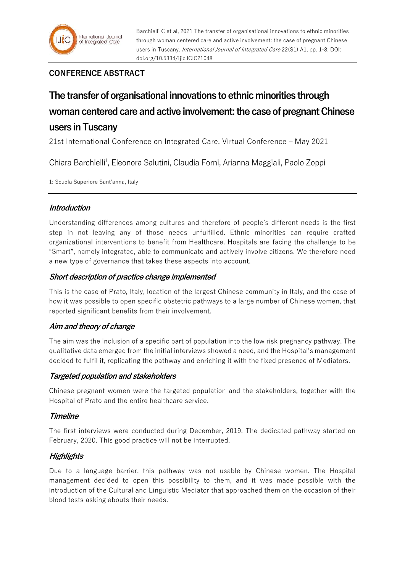

Barchielli C et al, 2021 The transfer of organisational innovations to ethnic minorities through woman centered care and active involvement: the case of pregnant Chinese users in Tuscany. *International Journal of Integrated Care* 22(S1) A1, pp. 1-8, DOI: doi.org/10.5334/ijic.ICIC21048

## **CONFERENCE ABSTRACT**

# **The transfer of organisational innovations to ethnic minorities through**  woman centered care and active involvement: the case of pregnant Chinese **users in Tuscany**

21st International Conference on Integrated Care, Virtual Conference – May 2021

Chiara Barchielli<sup>1</sup>, Eleonora Salutini, Claudia Forni, Arianna Maggiali, Paolo Zoppi

1: Scuola Superiore Sant'anna, Italy

## **Introduction**

Understanding differences among cultures and therefore of people's different needs is the first step in not leaving any of those needs unfulfilled. Ethnic minorities can require crafted organizational interventions to benefit from Healthcare. Hospitals are facing the challenge to be "Smart", namely integrated, able to communicate and actively involve citizens. We therefore need a new type of governance that takes these aspects into account.

## **Short description of practice change implemented**

This is the case of Prato, Italy, location of the largest Chinese community in Italy, and the case of how it was possible to open specific obstetric pathways to a large number of Chinese women, that reported significant benefits from their involvement.

## **Aim and theory of change**

The aim was the inclusion of a specific part of population into the low risk pregnancy pathway. The qualitative data emerged from the initial interviews showed a need, and the Hospital's management decided to fulfil it, replicating the pathway and enriching it with the fixed presence of Mediators.

## **Targeted population and stakeholders**

Chinese pregnant women were the targeted population and the stakeholders, together with the Hospital of Prato and the entire healthcare service.

## **Timeline**

The first interviews were conducted during December, 2019. The dedicated pathway started on February, 2020. This good practice will not be interrupted.

## **Highlights**

Due to a language barrier, this pathway was not usable by Chinese women. The Hospital management decided to open this possibility to them, and it was made possible with the introduction of the Cultural and Linguistic Mediator that approached them on the occasion of their blood tests asking abouts their needs.